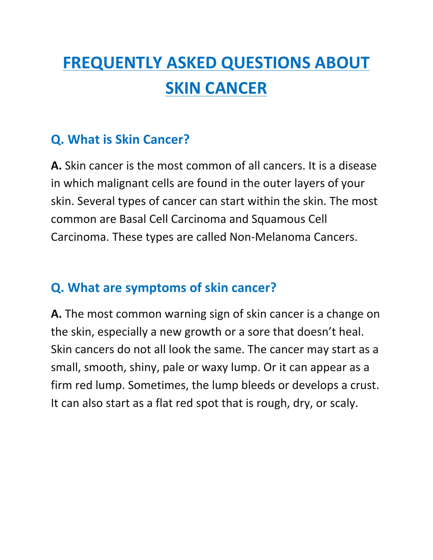# **FREQUENTLY ASKED QUESTIONS ABOUT SKIN CANCER**

#### **Q. What is Skin Cancer?**

**A.** Skin cancer is the most common of all cancers. It is a disease in which malignant cells are found in the outer layers of your skin. Several types of cancer can start within the skin. The most common are Basal Cell Carcinoma and Squamous Cell Carcinoma. These types are called Non-Melanoma Cancers.

#### **Q. What are symptoms of skin cancer?**

**A.** The most common warning sign of skin cancer is a change on the skin, especially a new growth or a sore that doesn't heal. Skin cancers do not all look the same. The cancer may start as a small, smooth, shiny, pale or waxy lump. Or it can appear as a firm red lump. Sometimes, the lump bleeds or develops a crust. It can also start as a flat red spot that is rough, dry, or scaly.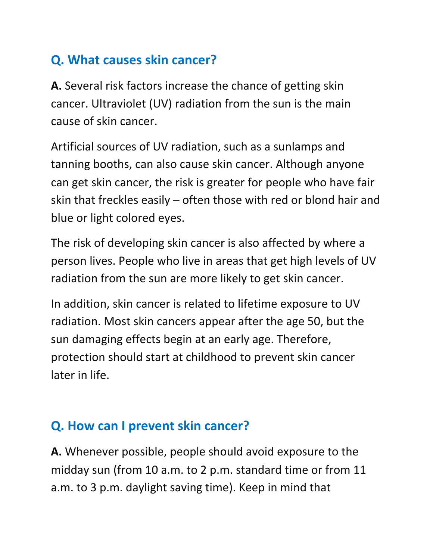# **Q. What causes skin cancer?**

**A.** Several risk factors increase the chance of getting skin cancer. Ultraviolet (UV) radiation from the sun is the main cause of skin cancer.

Artificial sources of UV radiation, such as a sunlamps and tanning booths, can also cause skin cancer. Although anyone can get skin cancer, the risk is greater for people who have fair skin that freckles easily  $-$  often those with red or blond hair and blue or light colored eyes.

The risk of developing skin cancer is also affected by where a person lives. People who live in areas that get high levels of UV radiation from the sun are more likely to get skin cancer.

In addition, skin cancer is related to lifetime exposure to UV radiation. Most skin cancers appear after the age 50, but the sun damaging effects begin at an early age. Therefore, protection should start at childhood to prevent skin cancer later in life.

# **Q.** How can I prevent skin cancer?

**A.** Whenever possible, people should avoid exposure to the midday sun (from 10 a.m. to 2 p.m. standard time or from 11 a.m. to 3 p.m. daylight saving time). Keep in mind that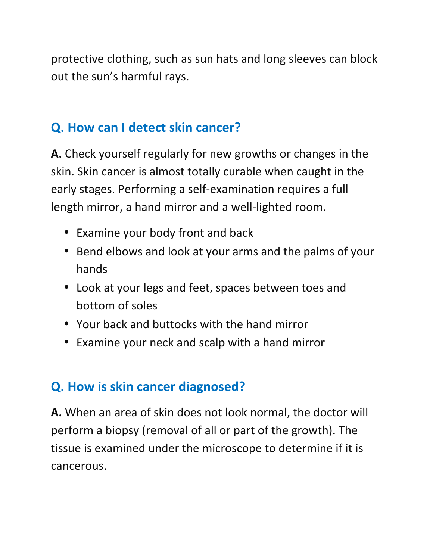protective clothing, such as sun hats and long sleeves can block out the sun's harmful rays.

#### **Q.** How can I detect skin cancer?

A. Check yourself regularly for new growths or changes in the skin. Skin cancer is almost totally curable when caught in the early stages. Performing a self-examination requires a full length mirror, a hand mirror and a well-lighted room.

- Examine your body front and back
- Bend elbows and look at your arms and the palms of your hands
- Look at your legs and feet, spaces between toes and bottom of soles
- Your back and buttocks with the hand mirror
- Examine your neck and scalp with a hand mirror

#### **Q.** How is skin cancer diagnosed?

**A.** When an area of skin does not look normal, the doctor will perform a biopsy (removal of all or part of the growth). The tissue is examined under the microscope to determine if it is cancerous.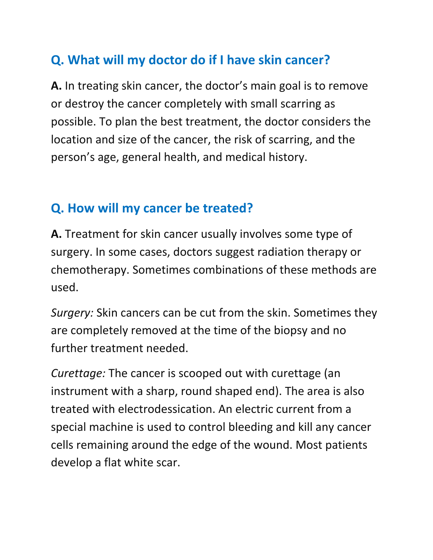# **Q. What will my doctor do if I have skin cancer?**

**A.** In treating skin cancer, the doctor's main goal is to remove or destroy the cancer completely with small scarring as possible. To plan the best treatment, the doctor considers the location and size of the cancer, the risk of scarring, and the person's age, general health, and medical history.

#### **Q.** How will my cancer be treated?

**A.** Treatment for skin cancer usually involves some type of surgery. In some cases, doctors suggest radiation therapy or chemotherapy. Sometimes combinations of these methods are used.

*Surgery:* Skin cancers can be cut from the skin. Sometimes they are completely removed at the time of the biopsy and no further treatment needed.

*Curettage:* The cancer is scooped out with curettage (an instrument with a sharp, round shaped end). The area is also treated with electrodessication. An electric current from a special machine is used to control bleeding and kill any cancer cells remaining around the edge of the wound. Most patients develop a flat white scar.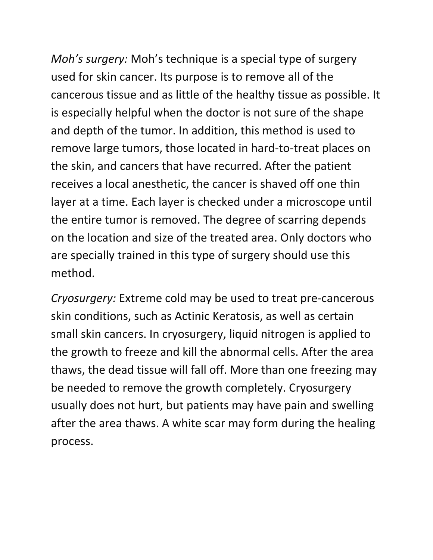*Moh's surgery:* Moh's technique is a special type of surgery used for skin cancer. Its purpose is to remove all of the cancerous tissue and as little of the healthy tissue as possible. It is especially helpful when the doctor is not sure of the shape and depth of the tumor. In addition, this method is used to remove large tumors, those located in hard-to-treat places on the skin, and cancers that have recurred. After the patient receives a local anesthetic, the cancer is shaved off one thin layer at a time. Each layer is checked under a microscope until the entire tumor is removed. The degree of scarring depends on the location and size of the treated area. Only doctors who are specially trained in this type of surgery should use this method.

*Cryosurgery:* Extreme cold may be used to treat pre-cancerous skin conditions, such as Actinic Keratosis, as well as certain small skin cancers. In cryosurgery, liquid nitrogen is applied to the growth to freeze and kill the abnormal cells. After the area thaws, the dead tissue will fall off. More than one freezing may be needed to remove the growth completely. Cryosurgery usually does not hurt, but patients may have pain and swelling after the area thaws. A white scar may form during the healing process.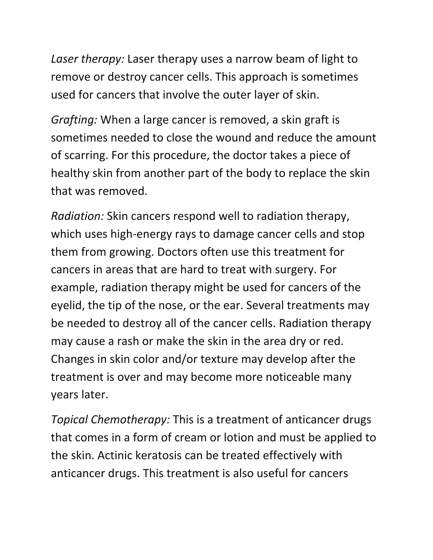Laser therapy: Laser therapy uses a narrow beam of light to remove or destroy cancer cells. This approach is sometimes used for cancers that involve the outer layer of skin.

*Grafting:* When a large cancer is removed, a skin graft is sometimes needed to close the wound and reduce the amount of scarring. For this procedure, the doctor takes a piece of healthy skin from another part of the body to replace the skin that was removed.

*Radiation:* Skin cancers respond well to radiation therapy, which uses high-energy rays to damage cancer cells and stop them from growing. Doctors often use this treatment for cancers in areas that are hard to treat with surgery. For example, radiation therapy might be used for cancers of the eyelid, the tip of the nose, or the ear. Several treatments may be needed to destroy all of the cancer cells. Radiation therapy may cause a rash or make the skin in the area dry or red. Changes in skin color and/or texture may develop after the treatment is over and may become more noticeable many years later.

*Topical Chemotherapy:* This is a treatment of anticancer drugs that comes in a form of cream or lotion and must be applied to the skin. Actinic keratosis can be treated effectively with anticancer drugs. This treatment is also useful for cancers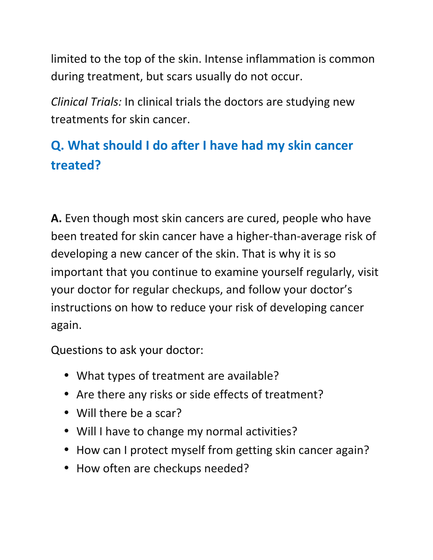limited to the top of the skin. Intense inflammation is common during treatment, but scars usually do not occur.

*Clinical Trials:* In clinical trials the doctors are studying new treatments for skin cancer.

# **Q. What should I do after I have had my skin cancer treated?**

**A.** Even though most skin cancers are cured, people who have been treated for skin cancer have a higher-than-average risk of developing a new cancer of the skin. That is why it is so important that you continue to examine yourself regularly, visit your doctor for regular checkups, and follow your doctor's instructions on how to reduce your risk of developing cancer again.

Questions to ask your doctor:

- What types of treatment are available?
- Are there any risks or side effects of treatment?
- Will there be a scar?
- Will I have to change my normal activities?
- How can I protect myself from getting skin cancer again?
- How often are checkups needed?